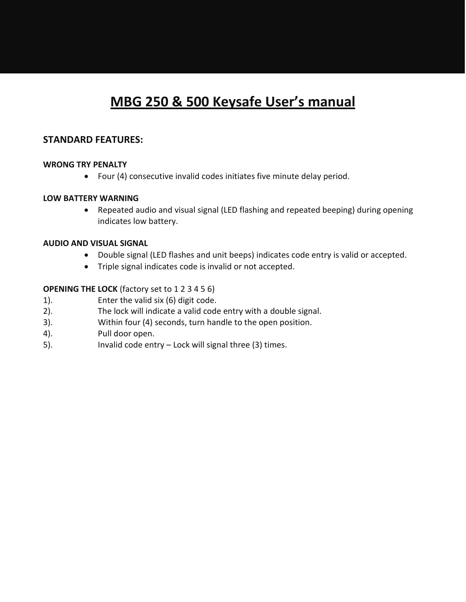# **MBG 250 & 500 Keysafe User's manual**

# **STANDARD FEATURES:**

### **WRONG TRY PENALTY**

Four (4) consecutive invalid codes initiates five minute delay period.

#### **LOW BATTERY WARNING**

 Repeated audio and visual signal (LED flashing and repeated beeping) during opening indicates low battery.

#### **AUDIO AND VISUAL SIGNAL**

- Double signal (LED flashes and unit beeps) indicates code entry is valid or accepted.
- Triple signal indicates code is invalid or not accepted.

#### **OPENING THE LOCK** (factory set to 1 2 3 4 5 6)

- 1). Enter the valid six (6) digit code.
- 2). The lock will indicate a valid code entry with a double signal.
- 3). Within four (4) seconds, turn handle to the open position.
- 4). Pull door open.
- 5). Invalid code entry Lock will signal three (3) times.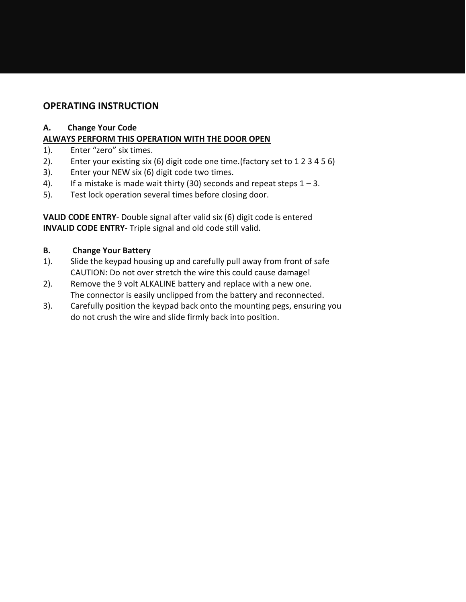# **OPERATING INSTRUCTION**

## **A. Change Your Code**

# **ALWAYS PERFORM THIS OPERATION WITH THE DOOR OPEN**

- 1). Enter "zero" six times.
- 2). Enter your existing six (6) digit code one time.(factory set to 1 2 3 4 5 6)
- 3). Enter your NEW six (6) digit code two times.
- 4). If a mistake is made wait thirty (30) seconds and repeat steps  $1 3$ .
- 5). Test lock operation several times before closing door.

**VALID CODE ENTRY**- Double signal after valid six (6) digit code is entered **INVALID CODE ENTRY**- Triple signal and old code still valid.

# **B. Change Your Battery**

- 1). Slide the keypad housing up and carefully pull away from front of safe CAUTION: Do not over stretch the wire this could cause damage!
- 2). Remove the 9 volt ALKALINE battery and replace with a new one. The connector is easily unclipped from the battery and reconnected.
- 3). Carefully position the keypad back onto the mounting pegs, ensuring you do not crush the wire and slide firmly back into position.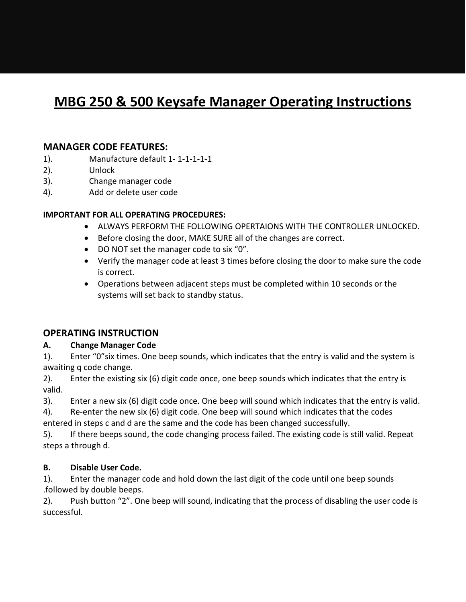# **MBG 250 & 500 Keysafe Manager Operating Instructions**

# **MANAGER CODE FEATURES:**

- 1). Manufacture default 1- 1-1-1-1-1
- 2). Unlock
- 3). Change manager code
- 4). Add or delete user code

### **IMPORTANT FOR ALL OPERATING PROCEDURES:**

- ALWAYS PERFORM THE FOLLOWING OPERTAIONS WITH THE CONTROLLER UNLOCKED.
- Before closing the door, MAKE SURE all of the changes are correct.
- DO NOT set the manager code to six "0".
- Verify the manager code at least 3 times before closing the door to make sure the code is correct.
- Operations between adjacent steps must be completed within 10 seconds or the systems will set back to standby status.

# **OPERATING INSTRUCTION**

### **A. Change Manager Code**

1). Enter "0"six times. One beep sounds, which indicates that the entry is valid and the system is awaiting q code change.

2). Enter the existing six (6) digit code once, one beep sounds which indicates that the entry is valid.

3). Enter a new six (6) digit code once. One beep will sound which indicates that the entry is valid.

4). Re-enter the new six (6) digit code. One beep will sound which indicates that the codes

entered in steps c and d are the same and the code has been changed successfully.

5). If there beeps sound, the code changing process failed. The existing code is still valid. Repeat steps a through d.

### **B. Disable User Code.**

1). Enter the manager code and hold down the last digit of the code until one beep sounds .followed by double beeps.

2). Push button "2". One beep will sound, indicating that the process of disabling the user code is successful.